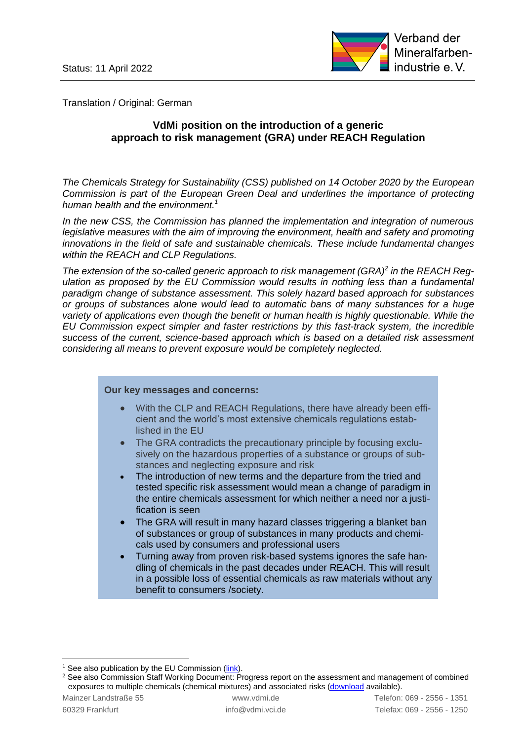

Translation / Original: German

# **VdMi position on the introduction of a generic approach to risk management (GRA) under REACH Regulation**

*The Chemicals Strategy for Sustainability (CSS) published on 14 October 2020 by the European Commission is part of the European Green Deal and underlines the importance of protecting human health and the environment. 1*

*In the new CSS, the Commission has planned the implementation and integration of numerous*  legislative measures with the aim of improving the environment, health and safety and promoting *innovations in the field of safe and sustainable chemicals. These include fundamental changes within the REACH and CLP Regulations.*

*The extension of the so-called generic approach to risk management (GRA)<sup>2</sup> in the REACH Regulation as proposed by the EU Commission would results in nothing less than a fundamental paradigm change of substance assessment. This solely hazard based approach for substances or groups of substances alone would lead to automatic bans of many substances for a huge variety of applications even though the benefit or human health is highly questionable. While the EU Commission expect simpler and faster restrictions by this fast-track system, the incredible success of the current, science-based approach which is based on a detailed risk assessment considering all means to prevent exposure would be completely neglected.*

#### **Our key messages and concerns:**

- With the CLP and REACH Regulations, there have already been efficient and the world's most extensive chemicals regulations established in the EU
- The GRA contradicts the precautionary principle by focusing exclusively on the hazardous properties of a substance or groups of substances and neglecting exposure and risk
- The introduction of new terms and the departure from the tried and tested specific risk assessment would mean a change of paradigm in the entire chemicals assessment for which neither a need nor a justification is seen
- The GRA will result in many hazard classes triggering a blanket ban of substances or group of substances in many products and chemicals used by consumers and professional users
- Turning away from proven risk-based systems ignores the safe handling of chemicals in the past decades under REACH. This will result in a possible loss of essential chemicals as raw materials without any benefit to consumers /society.

<sup>&</sup>lt;sup>1</sup> See also publication by the EU Commission [\(link\)](https://ec.europa.eu/environment/strategy/chemicals-strategy_en).

<sup>&</sup>lt;sup>2</sup> See also Commission Staff Working Document: Progress report on the assessment and management of combined exposures to multiple chemicals (chemical mixtures) and associated risks [\(download](https://www.google.com/url?sa=t&rct=j&q=&esrc=s&source=web&cd=&ved=2ahUKEwj2yuS4pMj2AhUEQ_EDHZI5Aa0QFnoECAQQAQ&url=https%3A%2F%2Fec.europa.eu%2Fenvironment%2Fpdf%2Fchemicals%2F2020%2F10%2FSWD_mixtures.pdf&usg=AOvVaw3BsJjC4JGCjYDFk1uWBMYp) available).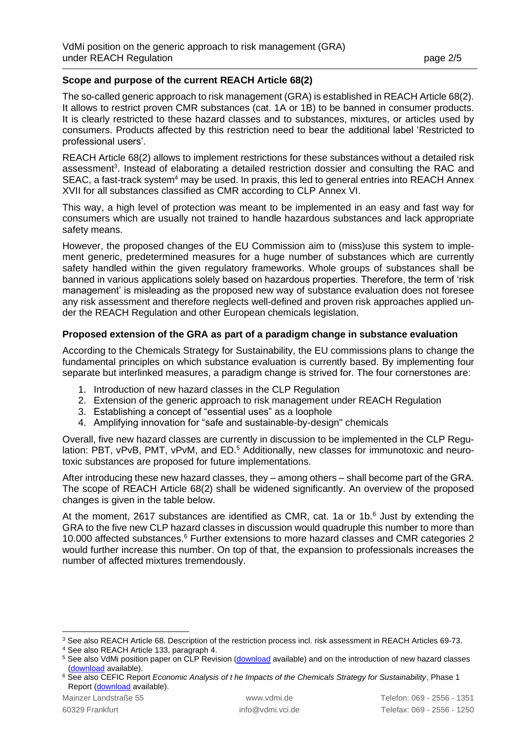# **Scope and purpose of the current REACH Article 68(2)**

The so-called generic approach to risk management (GRA) is established in REACH Article 68(2). It allows to restrict proven CMR substances (cat. 1A or 1B) to be banned in consumer products. It is clearly restricted to these hazard classes and to substances, mixtures, or articles used by consumers. Products affected by this restriction need to bear the additional label 'Restricted to professional users'.

REACH Article 68(2) allows to implement restrictions for these substances without a detailed risk assessment<sup>3</sup>. Instead of elaborating a detailed restriction dossier and consulting the RAC and SEAC, a fast-track system<sup>4</sup> may be used. In praxis, this led to general entries into REACH Annex XVII for all substances classified as CMR according to CLP Annex VI.

This way, a high level of protection was meant to be implemented in an easy and fast way for consumers which are usually not trained to handle hazardous substances and lack appropriate safety means.

However, the proposed changes of the EU Commission aim to (miss)use this system to implement generic, predetermined measures for a huge number of substances which are currently safety handled within the given regulatory frameworks. Whole groups of substances shall be banned in various applications solely based on hazardous properties. Therefore, the term of 'risk management' is misleading as the proposed new way of substance evaluation does not foresee any risk assessment and therefore neglects well-defined and proven risk approaches applied under the REACH Regulation and other European chemicals legislation.

# **Proposed extension of the GRA as part of a paradigm change in substance evaluation**

According to the Chemicals Strategy for Sustainability, the EU commissions plans to change the fundamental principles on which substance evaluation is currently based. By implementing four separate but interlinked measures, a paradigm change is strived for. The four cornerstones are:

- 1. Introduction of new hazard classes in the CLP Regulation
- 2. Extension of the generic approach to risk management under REACH Regulation
- 3. Establishing a concept of "essential uses" as a loophole
- 4. Amplifying innovation for "safe and sustainable-by-design" chemicals

Overall, five new hazard classes are currently in discussion to be implemented in the CLP Regulation: PBT, vPvB, PMT, vPvM, and ED.<sup>5</sup> Additionally, new classes for immunotoxic and neurotoxic substances are proposed for future implementations.

After introducing these new hazard classes, they – among others – shall become part of the GRA. The scope of REACH Article 68(2) shall be widened significantly. An overview of the proposed changes is given in the table below.

At the moment, 2617 substances are identified as CMR, cat. 1a or 1b. $<sup>6</sup>$  Just by extending the</sup> GRA to the five new CLP hazard classes in discussion would quadruple this number to more than 10.000 affected substances.<sup>6</sup> Further extensions to more hazard classes and CMR categories 2 would further increase this number. On top of that, the expansion to professionals increases the number of affected mixtures tremendously.

<sup>3</sup> See also REACH Article 68. Description of the restriction process incl. risk assessment in REACH Articles 69-73.

<sup>4</sup> See also REACH Article 133, paragraph 4.

<sup>&</sup>lt;sup>5</sup> See also VdMi position paper on CLP Revision [\(download](https://www.vdmi.de/de/informationsmaterial/positionspapiere-publikationen/?filename=vdmi_position_paper_clp_revision_en_05_21.pdf) available) and on the introduction of new hazard classes [\(download](https://www.vdmi.de/de/informationsmaterial/positionspapiere-publikationen/?filename=vdmi_position_neue_clp_klassen_en_11_21.pdf) available).

<sup>&</sup>lt;sup>6</sup> See also CEFIC Report *Economic Analysis of the Impacts of the Chemicals Strategy for Sustainability*, Phase 1 Report [\(download](https://www.google.com/url?sa=t&rct=j&q=&esrc=s&source=web&cd=&cad=rja&uact=8&ved=2ahUKEwiip-WK7ov3AhWSHuwKHc7TD5QQFnoECAcQAQ&url=https%3A%2F%2Fcefic.org%2Flibrary-item%2Feconomic-analysis-of-the-impacts-of-the-chemicals-strategy-for-sustainability-phase-1%2F&usg=AOvVaw3vlPjiey15aKLqkiqWzy_C) available).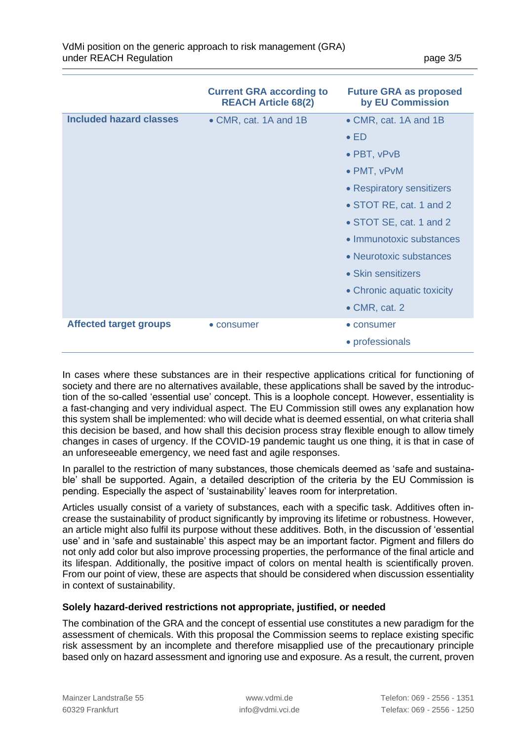|                                | <b>Current GRA according to</b><br><b>REACH Article 68(2)</b> | <b>Future GRA as proposed</b><br>by EU Commission |
|--------------------------------|---------------------------------------------------------------|---------------------------------------------------|
| <b>Included hazard classes</b> | • CMR, cat. 1A and 1B                                         | • CMR, cat. 1A and 1B                             |
|                                |                                                               | $\bullet$ ED                                      |
|                                |                                                               | • PBT, vPvB                                       |
|                                |                                                               | • PMT, vPvM                                       |
|                                |                                                               | • Respiratory sensitizers                         |
|                                |                                                               | • STOT RE, cat. 1 and 2                           |
|                                |                                                               | • STOT SE, cat. 1 and 2                           |
|                                |                                                               | • Immunotoxic substances                          |
|                                |                                                               | • Neurotoxic substances                           |
|                                |                                                               | • Skin sensitizers                                |
|                                |                                                               | • Chronic aquatic toxicity                        |
|                                |                                                               | $\bullet$ CMR, cat. 2                             |
| <b>Affected target groups</b>  | • consumer                                                    | • consumer                                        |
|                                |                                                               | • professionals                                   |

In cases where these substances are in their respective applications critical for functioning of society and there are no alternatives available, these applications shall be saved by the introduction of the so-called 'essential use' concept. This is a loophole concept. However, essentiality is a fast-changing and very individual aspect. The EU Commission still owes any explanation how this system shall be implemented: who will decide what is deemed essential, on what criteria shall this decision be based, and how shall this decision process stray flexible enough to allow timely changes in cases of urgency. If the COVID-19 pandemic taught us one thing, it is that in case of an unforeseeable emergency, we need fast and agile responses.

In parallel to the restriction of many substances, those chemicals deemed as 'safe and sustainable' shall be supported. Again, a detailed description of the criteria by the EU Commission is pending. Especially the aspect of 'sustainability' leaves room for interpretation.

Articles usually consist of a variety of substances, each with a specific task. Additives often increase the sustainability of product significantly by improving its lifetime or robustness. However, an article might also fulfil its purpose without these additives. Both, in the discussion of 'essential use' and in 'safe and sustainable' this aspect may be an important factor. Pigment and fillers do not only add color but also improve processing properties, the performance of the final article and its lifespan. Additionally, the positive impact of colors on mental health is scientifically proven. From our point of view, these are aspects that should be considered when discussion essentiality in context of sustainability.

### **Solely hazard-derived restrictions not appropriate, justified, or needed**

The combination of the GRA and the concept of essential use constitutes a new paradigm for the assessment of chemicals. With this proposal the Commission seems to replace existing specific risk assessment by an incomplete and therefore misapplied use of the precautionary principle based only on hazard assessment and ignoring use and exposure. As a result, the current, proven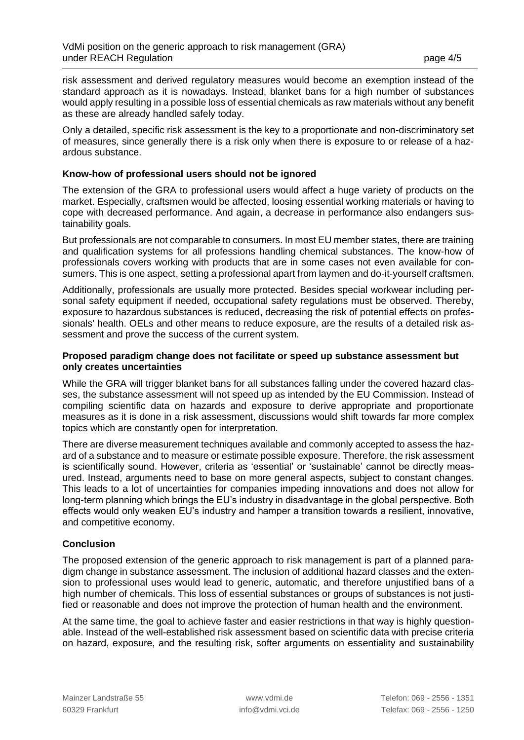risk assessment and derived regulatory measures would become an exemption instead of the standard approach as it is nowadays. Instead, blanket bans for a high number of substances would apply resulting in a possible loss of essential chemicals as raw materials without any benefit as these are already handled safely today.

Only a detailed, specific risk assessment is the key to a proportionate and non-discriminatory set of measures, since generally there is a risk only when there is exposure to or release of a hazardous substance.

#### **Know-how of professional users should not be ignored**

The extension of the GRA to professional users would affect a huge variety of products on the market. Especially, craftsmen would be affected, loosing essential working materials or having to cope with decreased performance. And again, a decrease in performance also endangers sustainability goals.

But professionals are not comparable to consumers. In most EU member states, there are training and qualification systems for all professions handling chemical substances. The know-how of professionals covers working with products that are in some cases not even available for consumers. This is one aspect, setting a professional apart from laymen and do-it-yourself craftsmen.

Additionally, professionals are usually more protected. Besides special workwear including personal safety equipment if needed, occupational safety regulations must be observed. Thereby, exposure to hazardous substances is reduced, decreasing the risk of potential effects on professionals' health. OELs and other means to reduce exposure, are the results of a detailed risk assessment and prove the success of the current system.

#### **Proposed paradigm change does not facilitate or speed up substance assessment but only creates uncertainties**

While the GRA will trigger blanket bans for all substances falling under the covered hazard classes, the substance assessment will not speed up as intended by the EU Commission. Instead of compiling scientific data on hazards and exposure to derive appropriate and proportionate measures as it is done in a risk assessment, discussions would shift towards far more complex topics which are constantly open for interpretation.

There are diverse measurement techniques available and commonly accepted to assess the hazard of a substance and to measure or estimate possible exposure. Therefore, the risk assessment is scientifically sound. However, criteria as 'essential' or 'sustainable' cannot be directly measured. Instead, arguments need to base on more general aspects, subject to constant changes. This leads to a lot of uncertainties for companies impeding innovations and does not allow for long-term planning which brings the EU's industry in disadvantage in the global perspective. Both effects would only weaken EU's industry and hamper a transition towards a resilient, innovative, and competitive economy.

### **Conclusion**

The proposed extension of the generic approach to risk management is part of a planned paradigm change in substance assessment. The inclusion of additional hazard classes and the extension to professional uses would lead to generic, automatic, and therefore unjustified bans of a high number of chemicals. This loss of essential substances or groups of substances is not justified or reasonable and does not improve the protection of human health and the environment.

At the same time, the goal to achieve faster and easier restrictions in that way is highly questionable. Instead of the well-established risk assessment based on scientific data with precise criteria on hazard, exposure, and the resulting risk, softer arguments on essentiality and sustainability